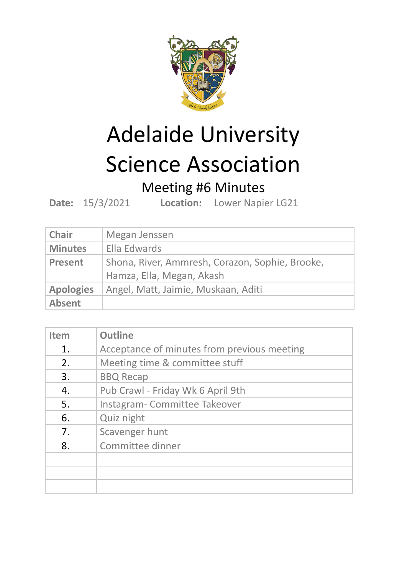

## Adelaide University Science Association

## Meeting #6 Minutes

**Date:** 15/3/2021 **Location:** Lower Napier LG21

| <b>Chair</b>     | Megan Jenssen                                                                |  |  |
|------------------|------------------------------------------------------------------------------|--|--|
| <b>Minutes</b>   | Ella Edwards                                                                 |  |  |
| <b>Present</b>   | Shona, River, Ammresh, Corazon, Sophie, Brooke,<br>Hamza, Ella, Megan, Akash |  |  |
| <b>Apologies</b> | Angel, Matt, Jaimie, Muskaan, Aditi                                          |  |  |
| <b>Absent</b>    |                                                                              |  |  |

| <b>Item</b> | <b>Outline</b>                              |
|-------------|---------------------------------------------|
| 1.          | Acceptance of minutes from previous meeting |
| 2.          | Meeting time & committee stuff              |
| 3.          | <b>BBQ Recap</b>                            |
| 4.          | Pub Crawl - Friday Wk 6 April 9th           |
| 5.          | Instagram-Committee Takeover                |
| 6.          | Quiz night                                  |
| 7.          | Scavenger hunt                              |
| 8.          | Committee dinner                            |
|             |                                             |
|             |                                             |
|             |                                             |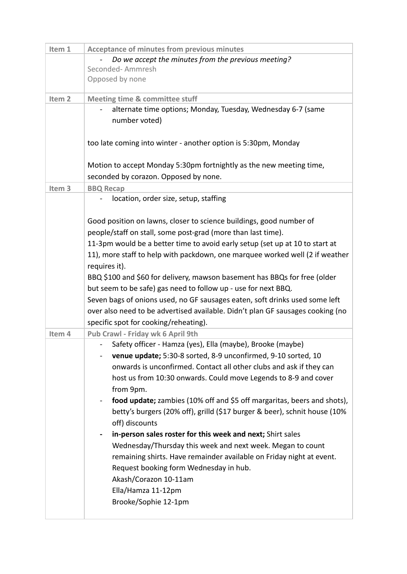| Item 1            | <b>Acceptance of minutes from previous minutes</b>                             |
|-------------------|--------------------------------------------------------------------------------|
|                   | Do we accept the minutes from the previous meeting?                            |
|                   | Seconded-Ammresh                                                               |
|                   | Opposed by none                                                                |
|                   |                                                                                |
| Item <sub>2</sub> | <b>Meeting time &amp; committee stuff</b>                                      |
|                   | alternate time options; Monday, Tuesday, Wednesday 6-7 (same                   |
|                   | number voted)                                                                  |
|                   |                                                                                |
|                   | too late coming into winter - another option is 5:30pm, Monday                 |
|                   |                                                                                |
|                   | Motion to accept Monday 5:30pm fortnightly as the new meeting time,            |
|                   | seconded by corazon. Opposed by none.                                          |
| Item <sub>3</sub> | <b>BBQ Recap</b>                                                               |
|                   | location, order size, setup, staffing                                          |
|                   |                                                                                |
|                   | Good position on lawns, closer to science buildings, good number of            |
|                   | people/staff on stall, some post-grad (more than last time).                   |
|                   | 11-3pm would be a better time to avoid early setup (set up at 10 to start at   |
|                   | 11), more staff to help with packdown, one marquee worked well (2 if weather   |
|                   | requires it).                                                                  |
|                   | BBQ \$100 and \$60 for delivery, mawson basement has BBQs for free (older      |
|                   | but seem to be safe) gas need to follow up - use for next BBQ.                 |
|                   | Seven bags of onions used, no GF sausages eaten, soft drinks used some left    |
|                   | over also need to be advertised available. Didn't plan GF sausages cooking (no |
|                   | specific spot for cooking/reheating).                                          |
| Item 4            | Pub Crawl - Friday wk 6 April 9th                                              |
|                   | Safety officer - Hamza (yes), Ella (maybe), Brooke (maybe)                     |
|                   | venue update; 5:30-8 sorted, 8-9 unconfirmed, 9-10 sorted, 10                  |
|                   | onwards is unconfirmed. Contact all other clubs and ask if they can            |
|                   | host us from 10:30 onwards. Could move Legends to 8-9 and cover                |
|                   | from 9pm.                                                                      |
|                   | food update; zambies (10% off and \$5 off margaritas, beers and shots),        |
|                   | betty's burgers (20% off), grilld (\$17 burger & beer), schnit house (10%      |
|                   | off) discounts                                                                 |
|                   | in-person sales roster for this week and next; Shirt sales                     |
|                   | Wednesday/Thursday this week and next week. Megan to count                     |
|                   |                                                                                |
|                   | remaining shirts. Have remainder available on Friday night at event.           |
|                   | Request booking form Wednesday in hub.                                         |
|                   | Akash/Corazon 10-11am                                                          |
|                   | Ella/Hamza 11-12pm                                                             |
|                   | Brooke/Sophie 12-1pm                                                           |
|                   |                                                                                |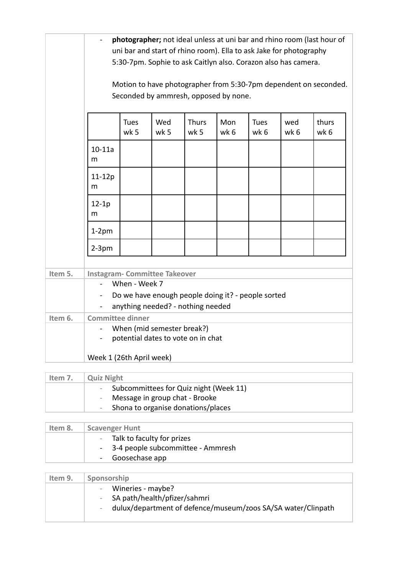|         | photographer; not ideal unless at uni bar and rhino room (last hour of<br>uni bar and start of rhino room). Ella to ask Jake for photography<br>5:30-7pm. Sophie to ask Caitlyn also. Corazon also has camera.<br>Motion to have photographer from 5:30-7pm dependent on seconded.<br>Seconded by ammresh, opposed by none. |                     |                                   |                      |             |                     |             |               |
|---------|-----------------------------------------------------------------------------------------------------------------------------------------------------------------------------------------------------------------------------------------------------------------------------------------------------------------------------|---------------------|-----------------------------------|----------------------|-------------|---------------------|-------------|---------------|
|         |                                                                                                                                                                                                                                                                                                                             | <b>Tues</b><br>wk 5 | Wed<br>wk 5                       | <b>Thurs</b><br>wk 5 | Mon<br>wk 6 | <b>Tues</b><br>wk 6 | wed<br>wk 6 | thurs<br>wk 6 |
|         | $10 - 11a$<br>m                                                                                                                                                                                                                                                                                                             |                     |                                   |                      |             |                     |             |               |
|         | 11-12p<br>m                                                                                                                                                                                                                                                                                                                 |                     |                                   |                      |             |                     |             |               |
|         | $12 - 1p$<br>m                                                                                                                                                                                                                                                                                                              |                     |                                   |                      |             |                     |             |               |
|         | $1-2$ pm                                                                                                                                                                                                                                                                                                                    |                     |                                   |                      |             |                     |             |               |
|         | $2-3pm$                                                                                                                                                                                                                                                                                                                     |                     |                                   |                      |             |                     |             |               |
| Item 5. | <b>Instagram- Committee Takeover</b><br>When - Week 7<br>Do we have enough people doing it? - people sorted                                                                                                                                                                                                                 |                     |                                   |                      |             |                     |             |               |
|         | $\blacksquare$                                                                                                                                                                                                                                                                                                              |                     | anything needed? - nothing needed |                      |             |                     |             |               |
| Item 6. | <b>Committee dinner</b>                                                                                                                                                                                                                                                                                                     |                     |                                   |                      |             |                     |             |               |
|         | When (mid semester break?)<br>potential dates to vote on in chat                                                                                                                                                                                                                                                            |                     |                                   |                      |             |                     |             |               |
|         | Week 1 (26th April week)                                                                                                                                                                                                                                                                                                    |                     |                                   |                      |             |                     |             |               |

| Item 7. | <b>Quiz Night</b>                        |  |  |
|---------|------------------------------------------|--|--|
|         | - Subcommittees for Quiz night (Week 11) |  |  |
|         | - Message in group chat - Brooke         |  |  |
|         | - Shona to organise donations/places     |  |  |
|         |                                          |  |  |

| Item 8. | <b>Scavenger Hunt</b>               |  |  |
|---------|-------------------------------------|--|--|
|         | - Talk to faculty for prizes        |  |  |
|         | - 3-4 people subcommittee - Ammresh |  |  |
|         | - Goosechase app                    |  |  |

| Item 9. | Sponsorship                                                                                                                     |  |
|---------|---------------------------------------------------------------------------------------------------------------------------------|--|
|         | - Wineries - maybe?<br>- SA path/health/pfizer/sahmri<br>dulux/department of defence/museum/zoos SA/SA water/Clinpath<br>$\sim$ |  |